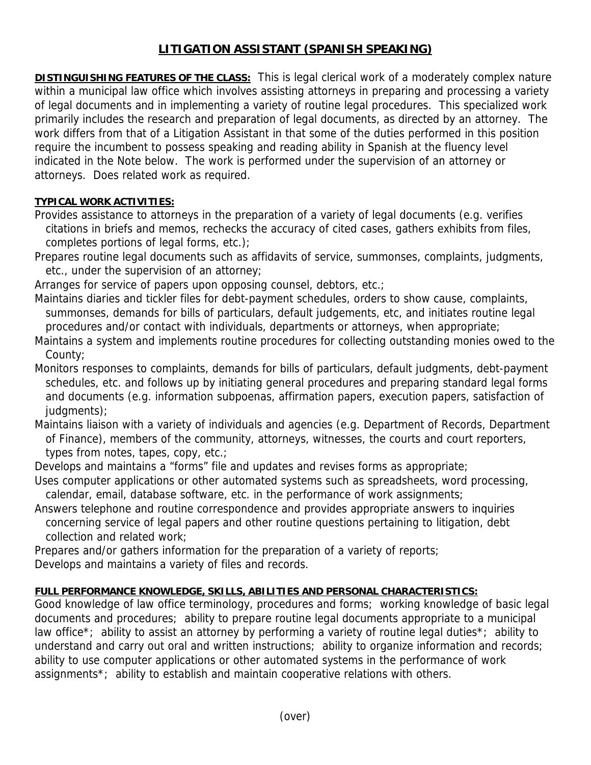## **LITIGATION ASSISTANT (SPANISH SPEAKING)**

**DISTINGUISHING FEATURES OF THE CLASS:** This is legal clerical work of a moderately complex nature within a municipal law office which involves assisting attorneys in preparing and processing a variety of legal documents and in implementing a variety of routine legal procedures. This specialized work primarily includes the research and preparation of legal documents, as directed by an attorney. The work differs from that of a Litigation Assistant in that some of the duties performed in this position require the incumbent to possess speaking and reading ability in Spanish at the fluency level indicated in the Note below. The work is performed under the supervision of an attorney or attorneys. Does related work as required.

## **TYPICAL WORK ACTIVITIES:**

Provides assistance to attorneys in the preparation of a variety of legal documents (e.g. verifies citations in briefs and memos, rechecks the accuracy of cited cases, gathers exhibits from files, completes portions of legal forms, etc.);

Prepares routine legal documents such as affidavits of service, summonses, complaints, judgments, etc., under the supervision of an attorney;

Arranges for service of papers upon opposing counsel, debtors, etc.;

- Maintains diaries and tickler files for debt-payment schedules, orders to show cause, complaints, summonses, demands for bills of particulars, default judgements, etc, and initiates routine legal procedures and/or contact with individuals, departments or attorneys, when appropriate;
- Maintains a system and implements routine procedures for collecting outstanding monies owed to the County;
- Monitors responses to complaints, demands for bills of particulars, default judgments, debt-payment schedules, etc. and follows up by initiating general procedures and preparing standard legal forms and documents (e.g. information subpoenas, affirmation papers, execution papers, satisfaction of judgments);
- Maintains liaison with a variety of individuals and agencies (e.g. Department of Records, Department of Finance), members of the community, attorneys, witnesses, the courts and court reporters, types from notes, tapes, copy, etc.;

Develops and maintains a "forms" file and updates and revises forms as appropriate;

- Uses computer applications or other automated systems such as spreadsheets, word processing, calendar, email, database software, etc. in the performance of work assignments;
- Answers telephone and routine correspondence and provides appropriate answers to inquiries concerning service of legal papers and other routine questions pertaining to litigation, debt collection and related work;
- Prepares and/or gathers information for the preparation of a variety of reports;

Develops and maintains a variety of files and records.

## **FULL PERFORMANCE KNOWLEDGE, SKILLS, ABILITIES AND PERSONAL CHARACTERISTICS:**

Good knowledge of law office terminology, procedures and forms; working knowledge of basic legal documents and procedures; ability to prepare routine legal documents appropriate to a municipal law office\*; ability to assist an attorney by performing a variety of routine legal duties\*; ability to understand and carry out oral and written instructions; ability to organize information and records; ability to use computer applications or other automated systems in the performance of work assignments\*; ability to establish and maintain cooperative relations with others.